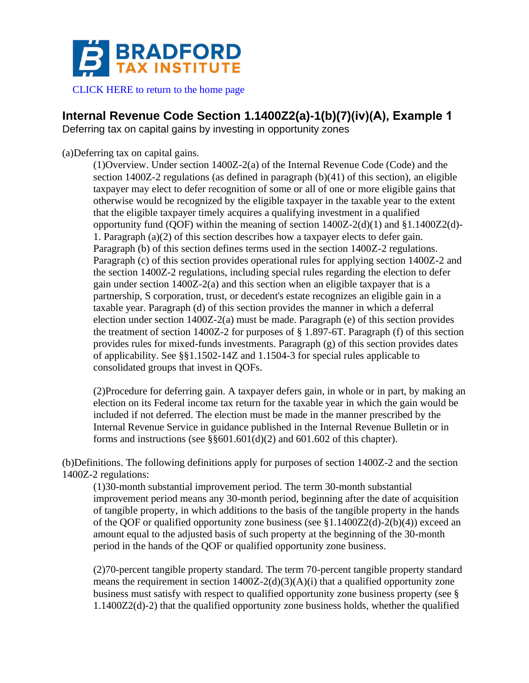

[CLICK HERE to return to the home page](http://www.bradfordtaxinstitute.com)

# **Internal Revenue Code Section 1.1400Z2(a)-1(b)(7)(iv)(A), Example 1**

Deferring tax on capital gains by investing in opportunity zones

(a)Deferring tax on capital gains.

(1)Overview. Under section 1400Z-2(a) of the Internal Revenue Code (Code) and the section 1400Z-2 regulations (as defined in paragraph (b)(41) of this section), an eligible taxpayer may elect to defer recognition of some or all of one or more eligible gains that otherwise would be recognized by the eligible taxpayer in the taxable year to the extent that the eligible taxpayer timely acquires a qualifying investment in a qualified opportunity fund (QOF) within the meaning of section  $1400Z-2(d)(1)$  and  $§1.1400Z2(d)$ -1. Paragraph (a)(2) of this section describes how a taxpayer elects to defer gain. Paragraph (b) of this section defines terms used in the section 1400Z-2 regulations. Paragraph (c) of this section provides operational rules for applying section 1400Z-2 and the section 1400Z-2 regulations, including special rules regarding the election to defer gain under section 1400Z-2(a) and this section when an eligible taxpayer that is a partnership, S corporation, trust, or decedent's estate recognizes an eligible gain in a taxable year. Paragraph (d) of this section provides the manner in which a deferral election under section 1400Z-2(a) must be made. Paragraph (e) of this section provides the treatment of section 1400Z-2 for purposes of  $\S 1.897$ -6T. Paragraph (f) of this section provides rules for mixed-funds investments. Paragraph (g) of this section provides dates of applicability. See §§1.1502-14Z and 1.1504-3 for special rules applicable to consolidated groups that invest in QOFs.

(2)Procedure for deferring gain. A taxpayer defers gain, in whole or in part, by making an election on its Federal income tax return for the taxable year in which the gain would be included if not deferred. The election must be made in the manner prescribed by the Internal Revenue Service in guidance published in the Internal Revenue Bulletin or in forms and instructions (see  $\S$ §601.601(d)(2) and 601.602 of this chapter).

(b)Definitions. The following definitions apply for purposes of section 1400Z-2 and the section 1400Z-2 regulations:

(1)30-month substantial improvement period. The term 30-month substantial improvement period means any 30-month period, beginning after the date of acquisition of tangible property, in which additions to the basis of the tangible property in the hands of the QOF or qualified opportunity zone business (see  $$1.1400Z2(d)-2(b)(4))$  exceed an amount equal to the adjusted basis of such property at the beginning of the 30-month period in the hands of the QOF or qualified opportunity zone business.

(2)70-percent tangible property standard. The term 70-percent tangible property standard means the requirement in section  $1400Z-2(d)(3)(A)(i)$  that a qualified opportunity zone business must satisfy with respect to qualified opportunity zone business property (see § 1.1400Z2(d)-2) that the qualified opportunity zone business holds, whether the qualified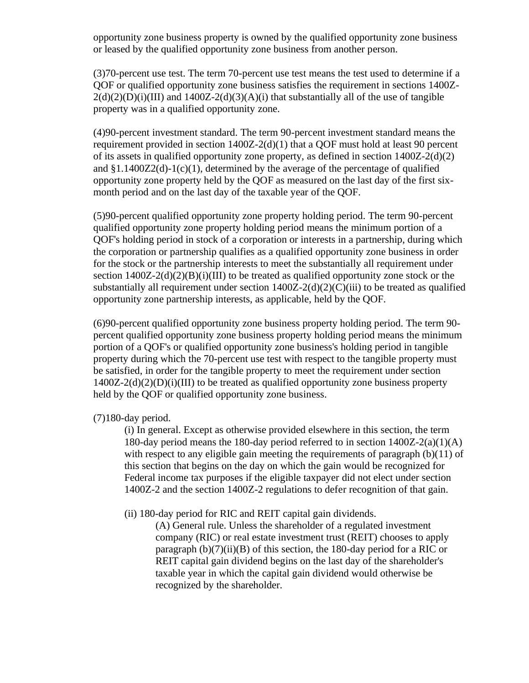opportunity zone business property is owned by the qualified opportunity zone business or leased by the qualified opportunity zone business from another person.

(3)70-percent use test. The term 70-percent use test means the test used to determine if a QOF or qualified opportunity zone business satisfies the requirement in sections 1400Z- $2(d)(2)(D)(i)(III)$  and  $1400Z-2(d)(3)(A)(i)$  that substantially all of the use of tangible property was in a qualified opportunity zone.

(4)90-percent investment standard. The term 90-percent investment standard means the requirement provided in section 1400Z-2(d)(1) that a QOF must hold at least 90 percent of its assets in qualified opportunity zone property, as defined in section 1400Z-2(d)(2) and  $\S1.1400Z2(d)-1(c)(1)$ , determined by the average of the percentage of qualified opportunity zone property held by the QOF as measured on the last day of the first sixmonth period and on the last day of the taxable year of the QOF.

(5)90-percent qualified opportunity zone property holding period. The term 90-percent qualified opportunity zone property holding period means the minimum portion of a QOF's holding period in stock of a corporation or interests in a partnership, during which the corporation or partnership qualifies as a qualified opportunity zone business in order for the stock or the partnership interests to meet the substantially all requirement under section  $1400Z-2(d)(2)(B)(i)(III)$  to be treated as qualified opportunity zone stock or the substantially all requirement under section  $1400Z-2(d)(2)(C)(iii)$  to be treated as qualified opportunity zone partnership interests, as applicable, held by the QOF.

(6)90-percent qualified opportunity zone business property holding period. The term 90 percent qualified opportunity zone business property holding period means the minimum portion of a QOF's or qualified opportunity zone business's holding period in tangible property during which the 70-percent use test with respect to the tangible property must be satisfied, in order for the tangible property to meet the requirement under section  $1400Z-2(d)(2)(D)(i)(III)$  to be treated as qualified opportunity zone business property held by the QOF or qualified opportunity zone business.

(7)180-day period.

(i) In general. Except as otherwise provided elsewhere in this section, the term 180-day period means the 180-day period referred to in section 1400Z-2(a)(1)(A) with respect to any eligible gain meeting the requirements of paragraph  $(b)(11)$  of this section that begins on the day on which the gain would be recognized for Federal income tax purposes if the eligible taxpayer did not elect under section 1400Z-2 and the section 1400Z-2 regulations to defer recognition of that gain.

(ii) 180-day period for RIC and REIT capital gain dividends.

(A) General rule. Unless the shareholder of a regulated investment company (RIC) or real estate investment trust (REIT) chooses to apply paragraph (b)(7)(ii)(B) of this section, the 180-day period for a RIC or REIT capital gain dividend begins on the last day of the shareholder's taxable year in which the capital gain dividend would otherwise be recognized by the shareholder.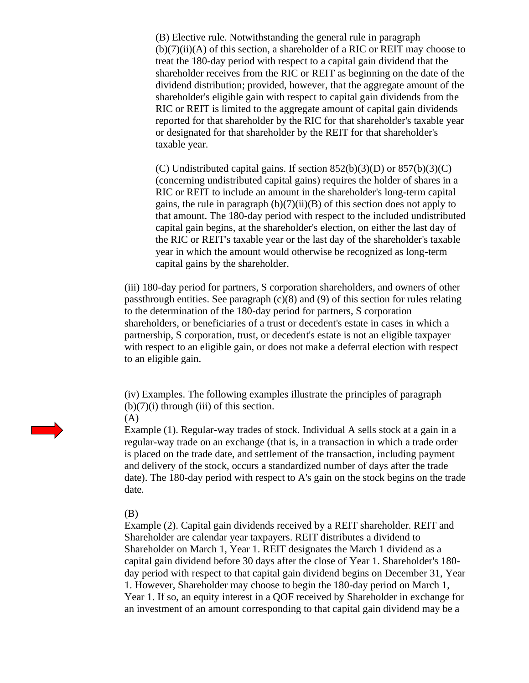(B) Elective rule. Notwithstanding the general rule in paragraph (b)(7)(ii)(A) of this section, a shareholder of a RIC or REIT may choose to treat the 180-day period with respect to a capital gain dividend that the shareholder receives from the RIC or REIT as beginning on the date of the dividend distribution; provided, however, that the aggregate amount of the shareholder's eligible gain with respect to capital gain dividends from the RIC or REIT is limited to the aggregate amount of capital gain dividends reported for that shareholder by the RIC for that shareholder's taxable year or designated for that shareholder by the REIT for that shareholder's taxable year.

(C) Undistributed capital gains. If section  $852(b)(3)(D)$  or  $857(b)(3)(C)$ (concerning undistributed capital gains) requires the holder of shares in a RIC or REIT to include an amount in the shareholder's long-term capital gains, the rule in paragraph  $(b)(7)(ii)(B)$  of this section does not apply to that amount. The 180-day period with respect to the included undistributed capital gain begins, at the shareholder's election, on either the last day of the RIC or REIT's taxable year or the last day of the shareholder's taxable year in which the amount would otherwise be recognized as long-term capital gains by the shareholder.

(iii) 180-day period for partners, S corporation shareholders, and owners of other passthrough entities. See paragraph  $(c)(8)$  and  $(9)$  of this section for rules relating to the determination of the 180-day period for partners, S corporation shareholders, or beneficiaries of a trust or decedent's estate in cases in which a partnership, S corporation, trust, or decedent's estate is not an eligible taxpayer with respect to an eligible gain, or does not make a deferral election with respect to an eligible gain.

(iv) Examples. The following examples illustrate the principles of paragraph  $(b)(7)(i)$  through (iii) of this section.



Example (1). Regular-way trades of stock. Individual A sells stock at a gain in a regular-way trade on an exchange (that is, in a transaction in which a trade order is placed on the trade date, and settlement of the transaction, including payment and delivery of the stock, occurs a standardized number of days after the trade date). The 180-day period with respect to A's gain on the stock begins on the trade date.

## (B)

Example (2). Capital gain dividends received by a REIT shareholder. REIT and Shareholder are calendar year taxpayers. REIT distributes a dividend to Shareholder on March 1, Year 1. REIT designates the March 1 dividend as a capital gain dividend before 30 days after the close of Year 1. Shareholder's 180 day period with respect to that capital gain dividend begins on December 31, Year 1. However, Shareholder may choose to begin the 180-day period on March 1, Year 1. If so, an equity interest in a QOF received by Shareholder in exchange for an investment of an amount corresponding to that capital gain dividend may be a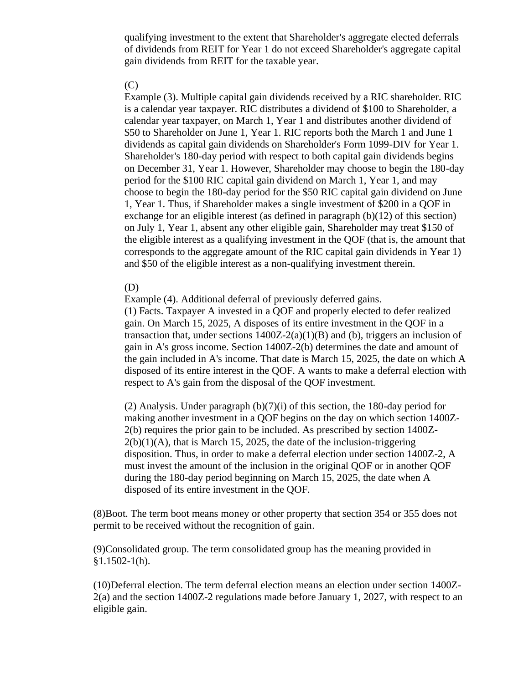qualifying investment to the extent that Shareholder's aggregate elected deferrals of dividends from REIT for Year 1 do not exceed Shareholder's aggregate capital gain dividends from REIT for the taxable year.

# (C)

Example (3). Multiple capital gain dividends received by a RIC shareholder. RIC is a calendar year taxpayer. RIC distributes a dividend of \$100 to Shareholder, a calendar year taxpayer, on March 1, Year 1 and distributes another dividend of \$50 to Shareholder on June 1, Year 1. RIC reports both the March 1 and June 1 dividends as capital gain dividends on Shareholder's Form 1099-DIV for Year 1. Shareholder's 180-day period with respect to both capital gain dividends begins on December 31, Year 1. However, Shareholder may choose to begin the 180-day period for the \$100 RIC capital gain dividend on March 1, Year 1, and may choose to begin the 180-day period for the \$50 RIC capital gain dividend on June 1, Year 1. Thus, if Shareholder makes a single investment of \$200 in a QOF in exchange for an eligible interest (as defined in paragraph  $(b)(12)$  of this section) on July 1, Year 1, absent any other eligible gain, Shareholder may treat \$150 of the eligible interest as a qualifying investment in the QOF (that is, the amount that corresponds to the aggregate amount of the RIC capital gain dividends in Year 1) and \$50 of the eligible interest as a non-qualifying investment therein.

## (D)

Example (4). Additional deferral of previously deferred gains.

(1) Facts. Taxpayer A invested in a QOF and properly elected to defer realized gain. On March 15, 2025, A disposes of its entire investment in the QOF in a transaction that, under sections  $1400Z - 2(a)(1)(B)$  and (b), triggers an inclusion of gain in A's gross income. Section 1400Z-2(b) determines the date and amount of the gain included in A's income. That date is March 15, 2025, the date on which A disposed of its entire interest in the QOF. A wants to make a deferral election with respect to A's gain from the disposal of the QOF investment.

(2) Analysis. Under paragraph (b)(7)(i) of this section, the 180-day period for making another investment in a QOF begins on the day on which section 1400Z-2(b) requires the prior gain to be included. As prescribed by section 1400Z- $2(b)(1)(A)$ , that is March 15, 2025, the date of the inclusion-triggering disposition. Thus, in order to make a deferral election under section 1400Z-2, A must invest the amount of the inclusion in the original QOF or in another QOF during the 180-day period beginning on March 15, 2025, the date when A disposed of its entire investment in the QOF.

(8)Boot. The term boot means money or other property that section 354 or 355 does not permit to be received without the recognition of gain.

(9)Consolidated group. The term consolidated group has the meaning provided in  $§1.1502-1(h).$ 

(10)Deferral election. The term deferral election means an election under section 1400Z-2(a) and the section 1400Z-2 regulations made before January 1, 2027, with respect to an eligible gain.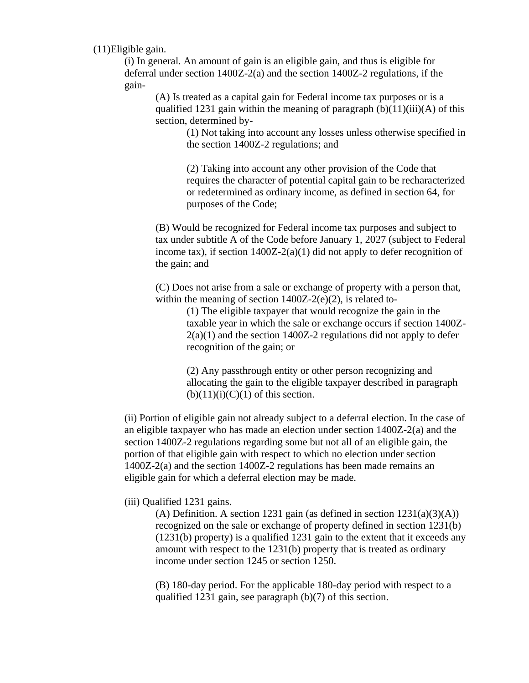(11)Eligible gain.

(i) In general. An amount of gain is an eligible gain, and thus is eligible for deferral under section 1400Z-2(a) and the section 1400Z-2 regulations, if the gain-

(A) Is treated as a capital gain for Federal income tax purposes or is a qualified 1231 gain within the meaning of paragraph  $(b)(11)(iii)(A)$  of this section, determined by-

> (1) Not taking into account any losses unless otherwise specified in the section 1400Z-2 regulations; and

> (2) Taking into account any other provision of the Code that requires the character of potential capital gain to be recharacterized or redetermined as ordinary income, as defined in section 64, for purposes of the Code;

(B) Would be recognized for Federal income tax purposes and subject to tax under subtitle A of the Code before January 1, 2027 (subject to Federal income tax), if section  $1400Z-2(a)(1)$  did not apply to defer recognition of the gain; and

(C) Does not arise from a sale or exchange of property with a person that, within the meaning of section  $1400Z-2(e)(2)$ , is related to-

> (1) The eligible taxpayer that would recognize the gain in the taxable year in which the sale or exchange occurs if section 1400Z- $2(a)(1)$  and the section 1400Z-2 regulations did not apply to defer recognition of the gain; or

(2) Any passthrough entity or other person recognizing and allocating the gain to the eligible taxpayer described in paragraph  $(b)(11)(i)(C)(1)$  of this section.

(ii) Portion of eligible gain not already subject to a deferral election. In the case of an eligible taxpayer who has made an election under section 1400Z-2(a) and the section 1400Z-2 regulations regarding some but not all of an eligible gain, the portion of that eligible gain with respect to which no election under section 1400Z-2(a) and the section 1400Z-2 regulations has been made remains an eligible gain for which a deferral election may be made.

# (iii) Qualified 1231 gains.

(A) Definition. A section 1231 gain (as defined in section  $1231(a)(3)(A)$ ) recognized on the sale or exchange of property defined in section 1231(b) (1231(b) property) is a qualified 1231 gain to the extent that it exceeds any amount with respect to the 1231(b) property that is treated as ordinary income under section 1245 or section 1250.

(B) 180-day period. For the applicable 180-day period with respect to a qualified 1231 gain, see paragraph (b)(7) of this section.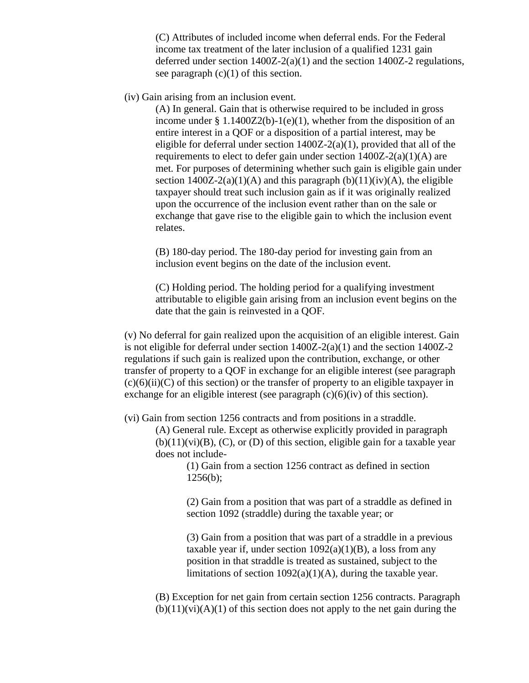(C) Attributes of included income when deferral ends. For the Federal income tax treatment of the later inclusion of a qualified 1231 gain deferred under section  $1400Z-2(a)(1)$  and the section  $1400Z-2$  regulations, see paragraph  $(c)(1)$  of this section.

(iv) Gain arising from an inclusion event.

(A) In general. Gain that is otherwise required to be included in gross income under § 1.1400Z2(b)-1(e)(1), whether from the disposition of an entire interest in a QOF or a disposition of a partial interest, may be eligible for deferral under section  $1400Z-2(a)(1)$ , provided that all of the requirements to elect to defer gain under section  $1400Z-2(a)(1)(A)$  are met. For purposes of determining whether such gain is eligible gain under section  $1400Z-2(a)(1)(A)$  and this paragraph  $(b)(11)(iv)(A)$ , the eligible taxpayer should treat such inclusion gain as if it was originally realized upon the occurrence of the inclusion event rather than on the sale or exchange that gave rise to the eligible gain to which the inclusion event relates.

(B) 180-day period. The 180-day period for investing gain from an inclusion event begins on the date of the inclusion event.

(C) Holding period. The holding period for a qualifying investment attributable to eligible gain arising from an inclusion event begins on the date that the gain is reinvested in a QOF.

(v) No deferral for gain realized upon the acquisition of an eligible interest. Gain is not eligible for deferral under section  $1400Z-2(a)(1)$  and the section  $1400Z-2$ regulations if such gain is realized upon the contribution, exchange, or other transfer of property to a QOF in exchange for an eligible interest (see paragraph  $(c)(6)(ii)(C)$  of this section) or the transfer of property to an eligible taxpayer in exchange for an eligible interest (see paragraph  $(c)(6)(iv)$  of this section).

(vi) Gain from section 1256 contracts and from positions in a straddle.

(A) General rule. Except as otherwise explicitly provided in paragraph  $(b)(11)(vi)(B)$ ,  $(C)$ , or  $(D)$  of this section, eligible gain for a taxable year does not include-

> (1) Gain from a section 1256 contract as defined in section  $1256(b)$ ;

(2) Gain from a position that was part of a straddle as defined in section 1092 (straddle) during the taxable year; or

(3) Gain from a position that was part of a straddle in a previous taxable year if, under section  $1092(a)(1)(B)$ , a loss from any position in that straddle is treated as sustained, subject to the limitations of section  $1092(a)(1)(A)$ , during the taxable year.

(B) Exception for net gain from certain section 1256 contracts. Paragraph  $(b)(11)(vi)(A)(1)$  of this section does not apply to the net gain during the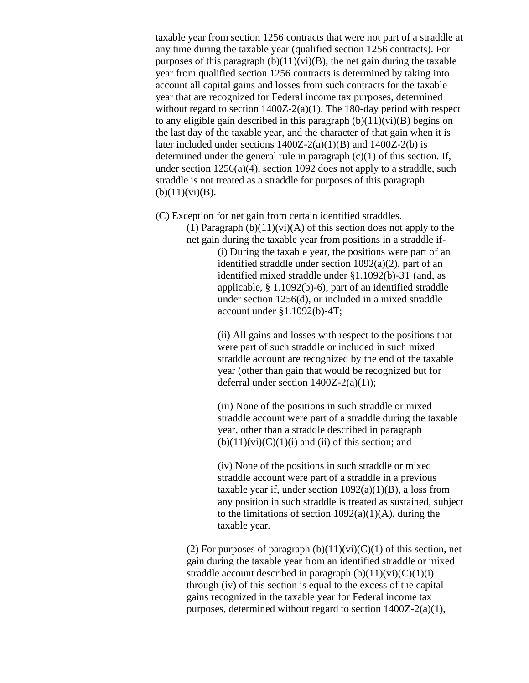taxable year from section 1256 contracts that were not part of a straddle at any time during the taxable year (qualified section 1256 contracts). For purposes of this paragraph  $(b)(11)(vi)(B)$ , the net gain during the taxable year from qualified section 1256 contracts is determined by taking into account all capital gains and losses from such contracts for the taxable year that are recognized for Federal income tax purposes, determined without regard to section 1400Z-2(a)(1). The 180-day period with respect to any eligible gain described in this paragraph  $(b)(11)(vi)(B)$  begins on the last day of the taxable year, and the character of that gain when it is later included under sections  $1400Z-2(a)(1)(B)$  and  $1400Z-2(b)$  is determined under the general rule in paragraph  $(c)(1)$  of this section. If, under section 1256(a)(4), section 1092 does not apply to a straddle, such straddle is not treated as a straddle for purposes of this paragraph  $(b)(11)(vi)(B).$ 

(C) Exception for net gain from certain identified straddles.

(1) Paragraph  $(b)(11)(vi)(A)$  of this section does not apply to the net gain during the taxable year from positions in a straddle if-

> (i) During the taxable year, the positions were part of an identified straddle under section 1092(a)(2), part of an identified mixed straddle under §1.1092(b)-3T (and, as applicable, § 1.1092(b)-6), part of an identified straddle under section 1256(d), or included in a mixed straddle account under §1.1092(b)-4T;

(ii) All gains and losses with respect to the positions that were part of such straddle or included in such mixed straddle account are recognized by the end of the taxable year (other than gain that would be recognized but for deferral under section 1400Z-2(a)(1));

(iii) None of the positions in such straddle or mixed straddle account were part of a straddle during the taxable year, other than a straddle described in paragraph  $(b)(11)(vi)(C)(1)(i)$  and (ii) of this section; and

(iv) None of the positions in such straddle or mixed straddle account were part of a straddle in a previous taxable year if, under section  $1092(a)(1)(B)$ , a loss from any position in such straddle is treated as sustained, subject to the limitations of section  $1092(a)(1)(A)$ , during the taxable year.

(2) For purposes of paragraph  $(b)(11)(vi)(C)(1)$  of this section, net gain during the taxable year from an identified straddle or mixed straddle account described in paragraph  $(b)(11)(vi)(C)(1)(i)$ through (iv) of this section is equal to the excess of the capital gains recognized in the taxable year for Federal income tax purposes, determined without regard to section 1400Z-2(a)(1),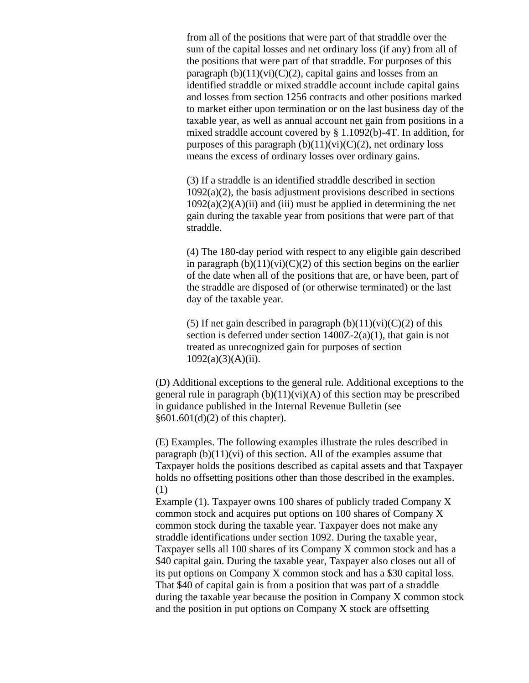from all of the positions that were part of that straddle over the sum of the capital losses and net ordinary loss (if any) from all of the positions that were part of that straddle. For purposes of this paragraph  $(b)(11)(vi)(C)(2)$ , capital gains and losses from an identified straddle or mixed straddle account include capital gains and losses from section 1256 contracts and other positions marked to market either upon termination or on the last business day of the taxable year, as well as annual account net gain from positions in a mixed straddle account covered by § 1.1092(b)-4T. In addition, for purposes of this paragraph  $(b)(11)(vi)(C)(2)$ , net ordinary loss means the excess of ordinary losses over ordinary gains.

(3) If a straddle is an identified straddle described in section  $1092(a)(2)$ , the basis adjustment provisions described in sections  $1092(a)(2)(A)(ii)$  and (iii) must be applied in determining the net gain during the taxable year from positions that were part of that straddle.

(4) The 180-day period with respect to any eligible gain described in paragraph  $(b)(11)(vi)(C)(2)$  of this section begins on the earlier of the date when all of the positions that are, or have been, part of the straddle are disposed of (or otherwise terminated) or the last day of the taxable year.

(5) If net gain described in paragraph  $(b)(11)(vi)(C)(2)$  of this section is deferred under section  $1400Z-2(a)(1)$ , that gain is not treated as unrecognized gain for purposes of section  $1092(a)(3)(A)(ii)$ .

(D) Additional exceptions to the general rule. Additional exceptions to the general rule in paragraph  $(b)(11)(vi)(A)$  of this section may be prescribed in guidance published in the Internal Revenue Bulletin (see §601.601(d)(2) of this chapter).

(E) Examples. The following examples illustrate the rules described in paragraph  $(b)(11)(vi)$  of this section. All of the examples assume that Taxpayer holds the positions described as capital assets and that Taxpayer holds no offsetting positions other than those described in the examples. (1)

Example (1). Taxpayer owns 100 shares of publicly traded Company X common stock and acquires put options on 100 shares of Company X common stock during the taxable year. Taxpayer does not make any straddle identifications under section 1092. During the taxable year, Taxpayer sells all 100 shares of its Company X common stock and has a \$40 capital gain. During the taxable year, Taxpayer also closes out all of its put options on Company X common stock and has a \$30 capital loss. That \$40 of capital gain is from a position that was part of a straddle during the taxable year because the position in Company X common stock and the position in put options on Company X stock are offsetting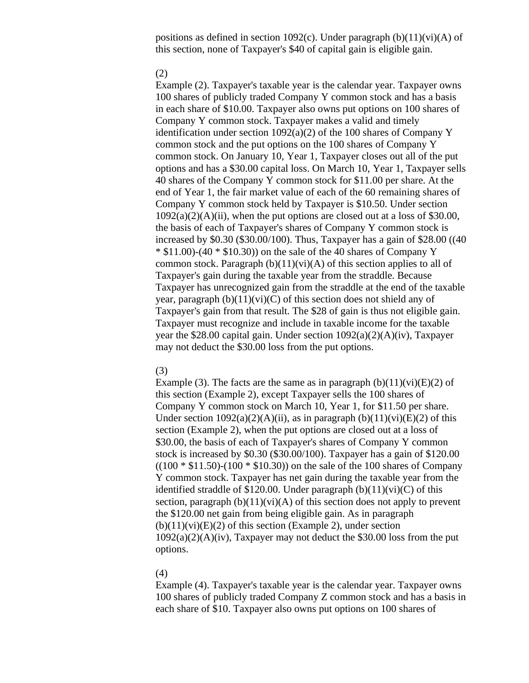positions as defined in section 1092(c). Under paragraph  $(b)(11)(vi)(A)$  of this section, none of Taxpayer's \$40 of capital gain is eligible gain.

#### (2)

Example (2). Taxpayer's taxable year is the calendar year. Taxpayer owns 100 shares of publicly traded Company Y common stock and has a basis in each share of \$10.00. Taxpayer also owns put options on 100 shares of Company Y common stock. Taxpayer makes a valid and timely identification under section 1092(a)(2) of the 100 shares of Company Y common stock and the put options on the 100 shares of Company Y common stock. On January 10, Year 1, Taxpayer closes out all of the put options and has a \$30.00 capital loss. On March 10, Year 1, Taxpayer sells 40 shares of the Company Y common stock for \$11.00 per share. At the end of Year 1, the fair market value of each of the 60 remaining shares of Company Y common stock held by Taxpayer is \$10.50. Under section  $1092(a)(2)(A)(ii)$ , when the put options are closed out at a loss of \$30.00, the basis of each of Taxpayer's shares of Company Y common stock is increased by \$0.30 (\$30.00/100). Thus, Taxpayer has a gain of \$28.00 ((40  $*$  \$11.00)-(40  $*$  \$10.30)) on the sale of the 40 shares of Company Y common stock. Paragraph  $(b)(11)(vi)(A)$  of this section applies to all of Taxpayer's gain during the taxable year from the straddle. Because Taxpayer has unrecognized gain from the straddle at the end of the taxable year, paragraph  $(b)(11)(vi)(C)$  of this section does not shield any of Taxpayer's gain from that result. The \$28 of gain is thus not eligible gain. Taxpayer must recognize and include in taxable income for the taxable year the \$28.00 capital gain. Under section  $1092(a)(2)(A)(iv)$ , Taxpayer may not deduct the \$30.00 loss from the put options.

## (3)

Example (3). The facts are the same as in paragraph  $(b)(11)(vi)(E)(2)$  of this section (Example 2), except Taxpayer sells the 100 shares of Company Y common stock on March 10, Year 1, for \$11.50 per share. Under section  $1092(a)(2)(A)(ii)$ , as in paragraph  $(b)(11)(vi)(E)(2)$  of this section (Example 2), when the put options are closed out at a loss of \$30.00, the basis of each of Taxpayer's shares of Company Y common stock is increased by \$0.30 (\$30.00/100). Taxpayer has a gain of \$120.00  $((100 * $11.50) - (100 * $10.30))$  on the sale of the 100 shares of Company Y common stock. Taxpayer has net gain during the taxable year from the identified straddle of \$120.00. Under paragraph  $(b)(11)(vi)(C)$  of this section, paragraph  $(b)(11)(vi)(A)$  of this section does not apply to prevent the \$120.00 net gain from being eligible gain. As in paragraph  $(b)(11)(vi)(E)(2)$  of this section (Example 2), under section  $1092(a)(2)(A)(iv)$ , Taxpayer may not deduct the \$30.00 loss from the put options.

### (4)

Example (4). Taxpayer's taxable year is the calendar year. Taxpayer owns 100 shares of publicly traded Company Z common stock and has a basis in each share of \$10. Taxpayer also owns put options on 100 shares of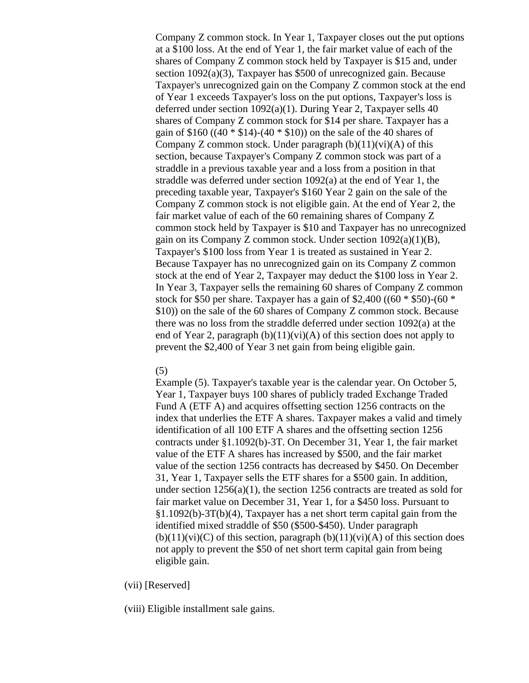Company Z common stock. In Year 1, Taxpayer closes out the put options at a \$100 loss. At the end of Year 1, the fair market value of each of the shares of Company Z common stock held by Taxpayer is \$15 and, under section 1092(a)(3), Taxpayer has \$500 of unrecognized gain. Because Taxpayer's unrecognized gain on the Company Z common stock at the end of Year 1 exceeds Taxpayer's loss on the put options, Taxpayer's loss is deferred under section 1092(a)(1). During Year 2, Taxpayer sells 40 shares of Company Z common stock for \$14 per share. Taxpayer has a gain of \$160 ((40  $*$  \$14)-(40  $*$  \$10)) on the sale of the 40 shares of Company Z common stock. Under paragraph  $(b)(11)(vi)(A)$  of this section, because Taxpayer's Company Z common stock was part of a straddle in a previous taxable year and a loss from a position in that straddle was deferred under section 1092(a) at the end of Year 1, the preceding taxable year, Taxpayer's \$160 Year 2 gain on the sale of the Company Z common stock is not eligible gain. At the end of Year 2, the fair market value of each of the 60 remaining shares of Company Z common stock held by Taxpayer is \$10 and Taxpayer has no unrecognized gain on its Company Z common stock. Under section 1092(a)(1)(B), Taxpayer's \$100 loss from Year 1 is treated as sustained in Year 2. Because Taxpayer has no unrecognized gain on its Company Z common stock at the end of Year 2, Taxpayer may deduct the \$100 loss in Year 2. In Year 3, Taxpayer sells the remaining 60 shares of Company Z common stock for \$50 per share. Taxpayer has a gain of \$2,400 ((60  $*$  \$50)-(60  $*$ \$10)) on the sale of the 60 shares of Company Z common stock. Because there was no loss from the straddle deferred under section 1092(a) at the end of Year 2, paragraph  $(b)(11)(vi)(A)$  of this section does not apply to prevent the \$2,400 of Year 3 net gain from being eligible gain.

## (5)

Example (5). Taxpayer's taxable year is the calendar year. On October 5, Year 1, Taxpayer buys 100 shares of publicly traded Exchange Traded Fund A (ETF A) and acquires offsetting section 1256 contracts on the index that underlies the ETF A shares. Taxpayer makes a valid and timely identification of all 100 ETF A shares and the offsetting section 1256 contracts under §1.1092(b)-3T. On December 31, Year 1, the fair market value of the ETF A shares has increased by \$500, and the fair market value of the section 1256 contracts has decreased by \$450. On December 31, Year 1, Taxpayer sells the ETF shares for a \$500 gain. In addition, under section  $1256(a)(1)$ , the section 1256 contracts are treated as sold for fair market value on December 31, Year 1, for a \$450 loss. Pursuant to §1.1092(b)-3T(b)(4), Taxpayer has a net short term capital gain from the identified mixed straddle of \$50 (\$500-\$450). Under paragraph  $(b)(11)(vi)(C)$  of this section, paragraph  $(b)(11)(vi)(A)$  of this section does not apply to prevent the \$50 of net short term capital gain from being eligible gain.

## (vii) [Reserved]

(viii) Eligible installment sale gains.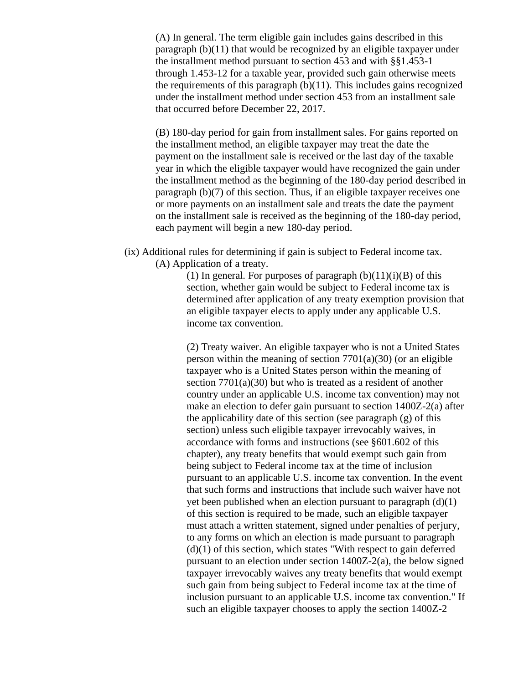(A) In general. The term eligible gain includes gains described in this paragraph (b)(11) that would be recognized by an eligible taxpayer under the installment method pursuant to section 453 and with §§1.453-1 through 1.453-12 for a taxable year, provided such gain otherwise meets the requirements of this paragraph  $(b)(11)$ . This includes gains recognized under the installment method under section 453 from an installment sale that occurred before December 22, 2017.

(B) 180-day period for gain from installment sales. For gains reported on the installment method, an eligible taxpayer may treat the date the payment on the installment sale is received or the last day of the taxable year in which the eligible taxpayer would have recognized the gain under the installment method as the beginning of the 180-day period described in paragraph (b)(7) of this section. Thus, if an eligible taxpayer receives one or more payments on an installment sale and treats the date the payment on the installment sale is received as the beginning of the 180-day period, each payment will begin a new 180-day period.

(ix) Additional rules for determining if gain is subject to Federal income tax. (A) Application of a treaty.

> (1) In general. For purposes of paragraph  $(b)(11)(i)(B)$  of this section, whether gain would be subject to Federal income tax is determined after application of any treaty exemption provision that an eligible taxpayer elects to apply under any applicable U.S. income tax convention.

> (2) Treaty waiver. An eligible taxpayer who is not a United States person within the meaning of section  $7701(a)(30)$  (or an eligible taxpayer who is a United States person within the meaning of section 7701(a)(30) but who is treated as a resident of another country under an applicable U.S. income tax convention) may not make an election to defer gain pursuant to section 1400Z-2(a) after the applicability date of this section (see paragraph (g) of this section) unless such eligible taxpayer irrevocably waives, in accordance with forms and instructions (see §601.602 of this chapter), any treaty benefits that would exempt such gain from being subject to Federal income tax at the time of inclusion pursuant to an applicable U.S. income tax convention. In the event that such forms and instructions that include such waiver have not yet been published when an election pursuant to paragraph  $(d)(1)$ of this section is required to be made, such an eligible taxpayer must attach a written statement, signed under penalties of perjury, to any forms on which an election is made pursuant to paragraph  $(d)(1)$  of this section, which states "With respect to gain deferred pursuant to an election under section 1400Z-2(a), the below signed taxpayer irrevocably waives any treaty benefits that would exempt such gain from being subject to Federal income tax at the time of inclusion pursuant to an applicable U.S. income tax convention." If such an eligible taxpayer chooses to apply the section 1400Z-2